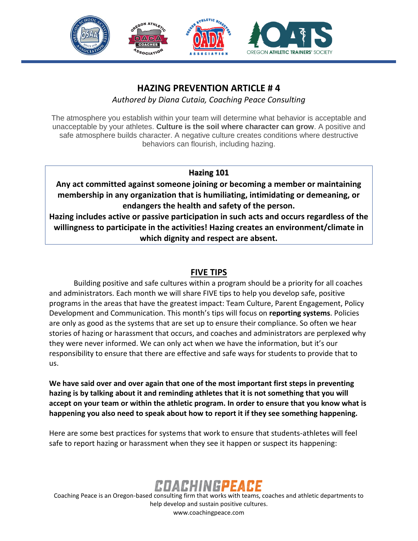

## **HAZING PREVENTION ARTICLE # 4**

*Authored by Diana Cutaia, Coaching Peace Consulting*

The atmosphere you establish within your team will determine what behavior is acceptable and unacceptable by your athletes. **Culture is the soil where character can grow**. A positive and safe atmosphere builds character. A negative culture creates conditions where destructive behaviors can flourish, including hazing.

#### **Hazing 101**

**Any act committed against someone joining or becoming a member or maintaining membership in any organization that is humiliating, intimidating or demeaning, or endangers the health and safety of the person.** 

**Hazing includes active or passive participation in such acts and occurs regardless of the willingness to participate in the activities! Hazing creates an environment/climate in which dignity and respect are absent.**

#### **FIVE TIPS**

Building positive and safe cultures within a program should be a priority for all coaches and administrators. Each month we will share FIVE tips to help you develop safe, positive programs in the areas that have the greatest impact: Team Culture, Parent Engagement, Policy Development and Communication. This month's tips will focus on **reporting systems**. Policies are only as good as the systems that are set up to ensure their compliance. So often we hear stories of hazing or harassment that occurs, and coaches and administrators are perplexed why they were never informed. We can only act when we have the information, but it's our responsibility to ensure that there are effective and safe ways for students to provide that to us.

**We have said over and over again that one of the most important first steps in preventing hazing is by talking about it and reminding athletes that it is not something that you will accept on your team or within the athletic program. In order to ensure that you know what is happening you also need to speak about how to report it if they see something happening.** 

Here are some best practices for systems that work to ensure that students-athletes will feel safe to report hazing or harassment when they see it happen or suspect its happening:



Coaching Peace is an Oregon-based consulting firm that works with teams, coaches and athletic departments to help develop and sustain positive cultures. www.coachingpeace.com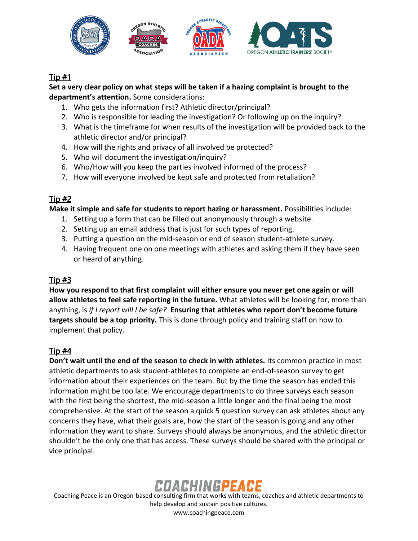

## Tip #1

**Set a very clear policy on what steps will be taken if a hazing complaint is brought to the department's attention.** Some considerations:

- 1. Who gets the information first? Athletic director/principal?
- 2. Who is responsible for leading the investigation? Or following up on the inquiry?
- 3. What is the timeframe for when results of the investigation will be provided back to the athletic director and/or principal?
- 4. How will the rights and privacy of all involved be protected?
- 5. Who will document the investigation/inquiry?
- 6. Who/How will you keep the parties involved informed of the process?
- 7. How will everyone involved be kept safe and protected from retaliation?

# $Tip #2$

**Make it simple and safe for students to report hazing or harassment.** Possibilities include:

- 1. Setting up a form that can be filled out anonymously through a website.
- 2. Setting up an email address that is just for such types of reporting.
- 3. Putting a question on the mid-season or end of season student-athlete survey.
- 4. Having frequent one on one meetings with athletes and asking them if they have seen or heard of anything.

#### Tip #3

**How you respond to that first complaint will either ensure you never get one again or will allow athletes to feel safe reporting in the future.** What athletes will be looking for, more than anything, is *if I report will I be safe?* **Ensuring that athletes who report don't become future targets should be a top priority.** This is done through policy and training staff on how to implement that policy.

# Tip #4

**Don't wait until the end of the season to check in with athletes.** Its common practice in most athletic departments to ask student-athletes to complete an end-of-season survey to get information about their experiences on the team. But by the time the season has ended this information might be too late. We encourage departments to do three surveys each season with the first being the shortest, the mid-season a little longer and the final being the most comprehensive. At the start of the season a quick 5 question survey can ask athletes about any concerns they have, what their goals are, how the start of the season is going and any other information they want to share. Surveys should always be anonymous, and the athletic director shouldn't be the only one that has access. These surveys should be shared with the principal or vice principal.



Coaching Peace is an Oregon-based consulting firm that works with teams, coaches and athletic departments to help develop and sustain positive cultures. www.coachingpeace.com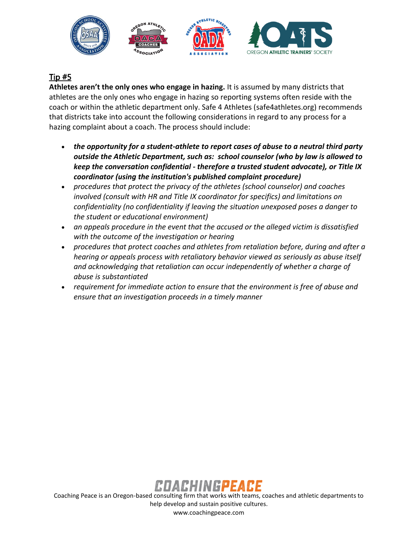

## Tip #5

**Athletes aren't the only ones who engage in hazing.** It is assumed by many districts that athletes are the only ones who engage in hazing so reporting systems often reside with the coach or within the athletic department only. Safe 4 Athletes (safe4athletes.org) recommends that districts take into account the following considerations in regard to any process for a hazing complaint about a coach. The process should include:

- *the opportunity for a student-athlete to report cases of abuse to a neutral third party outside the Athletic Department, such as: school counselor (who by law is allowed to keep the conversation confidential - therefore a trusted student advocate), or Title IX coordinator (using the institution's published complaint procedure)*
- *procedures that protect the privacy of the athletes (school counselor) and coaches involved (consult with HR and Title IX coordinator for specifics) and limitations on confidentiality (no confidentiality if leaving the situation unexposed poses a danger to the student or educational environment)*
- *an appeals procedure in the event that the accused or the alleged victim is dissatisfied with the outcome of the investigation or hearing*
- *procedures that protect coaches and athletes from retaliation before, during and after a hearing or appeals process with retaliatory behavior viewed as seriously as abuse itself and acknowledging that retaliation can occur independently of whether a charge of abuse is substantiated*
- *requirement for immediate action to ensure that the environment is free of abuse and ensure that an investigation proceeds in a timely manner*



Coaching Peace is an Oregon-based consulting firm that works with teams, coaches and athletic departments to help develop and sustain positive cultures. www.coachingpeace.com